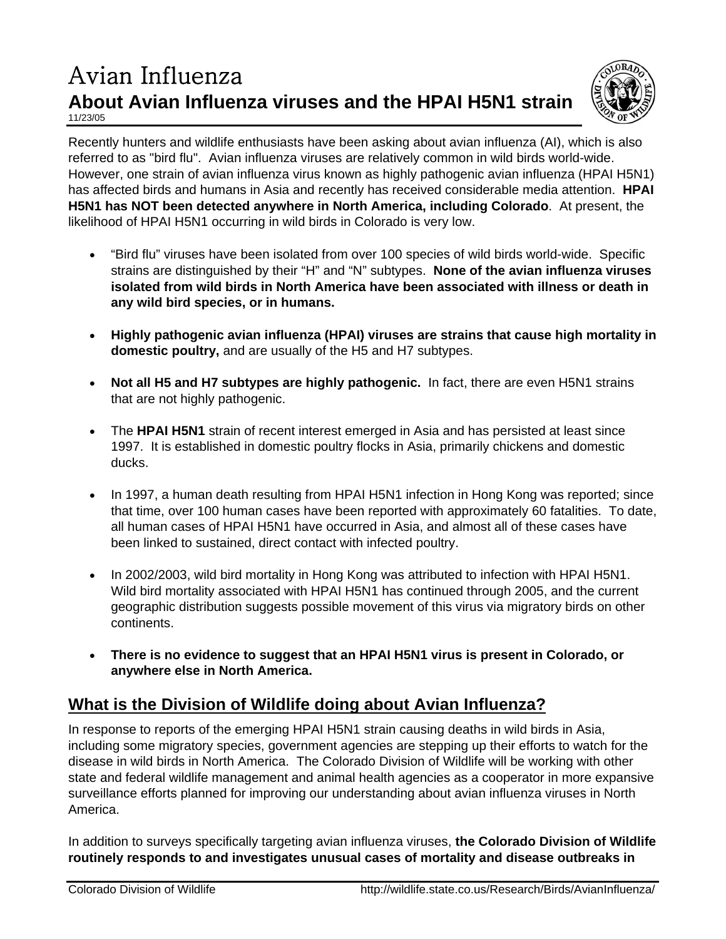## Avian Influenza **About Avian Influenza viruses and the HPAI H5N1 strain** 11/23/05



Recently hunters and wildlife enthusiasts have been asking about avian influenza (AI), which is also referred to as "bird flu". Avian influenza viruses are relatively common in wild birds world-wide. However, one strain of avian influenza virus known as highly pathogenic avian influenza (HPAI H5N1) has affected birds and humans in Asia and recently has received considerable media attention. **HPAI H5N1 has NOT been detected anywhere in North America, including Colorado**. At present, the likelihood of HPAI H5N1 occurring in wild birds in Colorado is very low.

- "Bird flu" viruses have been isolated from over 100 species of wild birds world-wide. Specific strains are distinguished by their "H" and "N" subtypes. **None of the avian influenza viruses isolated from wild birds in North America have been associated with illness or death in any wild bird species, or in humans.**
- **Highly pathogenic avian influenza (HPAI) viruses are strains that cause high mortality in domestic poultry,** and are usually of the H5 and H7 subtypes.
- **Not all H5 and H7 subtypes are highly pathogenic.** In fact, there are even H5N1 strains that are not highly pathogenic.
- The **HPAI H5N1** strain of recent interest emerged in Asia and has persisted at least since 1997. It is established in domestic poultry flocks in Asia, primarily chickens and domestic ducks.
- In 1997, a human death resulting from HPAI H5N1 infection in Hong Kong was reported; since that time, over 100 human cases have been reported with approximately 60 fatalities. To date, all human cases of HPAI H5N1 have occurred in Asia, and almost all of these cases have been linked to sustained, direct contact with infected poultry.
- In 2002/2003, wild bird mortality in Hong Kong was attributed to infection with HPAI H5N1. Wild bird mortality associated with HPAI H5N1 has continued through 2005, and the current geographic distribution suggests possible movement of this virus via migratory birds on other continents.
- **There is no evidence to suggest that an HPAI H5N1 virus is present in Colorado, or anywhere else in North America.**

# **What is the Division of Wildlife doing about Avian Influenza?**

In response to reports of the emerging HPAI H5N1 strain causing deaths in wild birds in Asia, including some migratory species, government agencies are stepping up their efforts to watch for the disease in wild birds in North America. The Colorado Division of Wildlife will be working with other state and federal wildlife management and animal health agencies as a cooperator in more expansive surveillance efforts planned for improving our understanding about avian influenza viruses in North America.

In addition to surveys specifically targeting avian influenza viruses, **the Colorado Division of Wildlife routinely responds to and investigates unusual cases of mortality and disease outbreaks in**